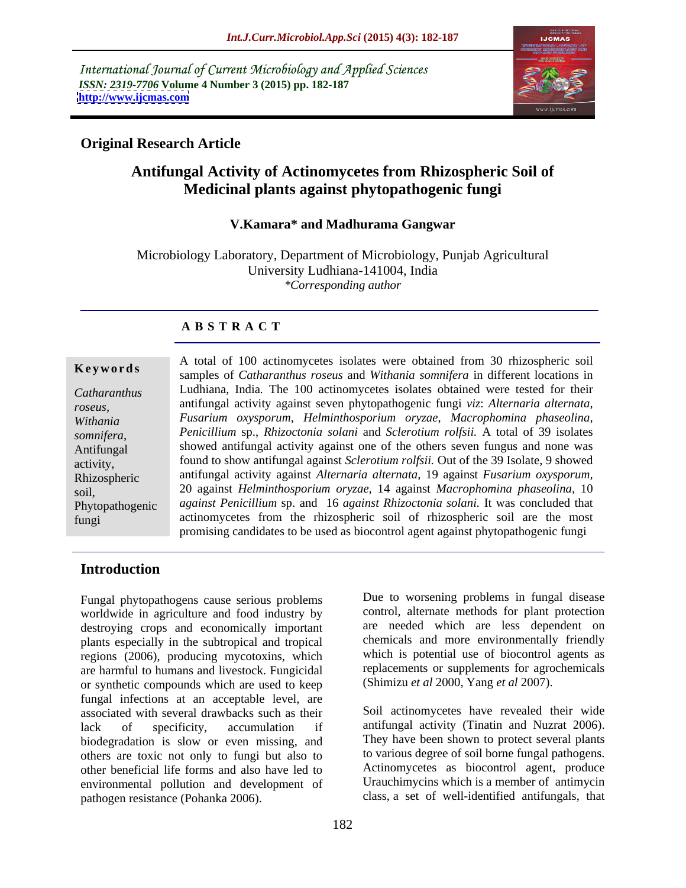International Journal of Current Microbiology and Applied Sciences *ISSN: 2319-7706* **Volume 4 Number 3 (2015) pp. 182-187 <http://www.ijcmas.com>**



## **Original Research Article**

## **Antifungal Activity of Actinomycetes from Rhizospheric Soil of Medicinal plants against phytopathogenic fungi**

### **V.Kamara\* and Madhurama Gangwar**

Microbiology Laboratory, Department of Microbiology, Punjab Agricultural University Ludhiana-141004, India *\*Corresponding author*

## **A B S T R A C T**

fungi

A total of 100 actinomycetes isolates were obtained from 30 rhizospheric soil samples of *Catharanthus roseus* and *Withania somnifera* in different locations in **Ke ywo rds** Ludhiana, India*.* The 100 actinomycetes isolates obtained were tested for their *Catharanthus*  antifungal activity against seven phytopathogenic fungi *viz*: *Alternaria alternata*, *roseus, Fusarium oxysporum*, *Helminthosporium oryzae*, *Macrophomina phaseolina, Withania Penicillium* sp., *Rhizoctonia solani* and *Sclerotium rolfsii.* A total of 39 isolates somnifera, Peniculium sp., *Rhizoctonia solani* and *Sclerotium rolfsu*. A total of 39 isolates<br>Antifungal showed antifungal activity against one of the others seven fungus and none was activity, found to show antifungal against *Sclerotium rolfsii*. Out of the 39 Isolate, 9 showed antifungal activity against *Alternaria alternata*, 19 against *Fusarium oxysporum,* Rhizospheric 20 against *Helminthosporium oryzae,* 14 against *Macrophomina phaseolina,* 10 soil, *against Penicillium* sp. and 16 *against Rhizoctonia solani.* It was concluded that Phytopathogenic actinomycetes from the rhizospheric soil of rhizospheric soil are the most promising candidates to be used as biocontrol agent against phytopathogenic fungi

## **Introduction**

Fungal phytopathogens cause serious problems worldwide in agriculture and food industry by destroying crops and economically important plants especially in the subtropical and tropical regions (2006), producing mycotoxins, which are harmful to humans and livestock. Fungicidal or synthetic compounds which are used to keep fungal infections at an acceptable level, are associated with several drawbacks such as their lack of specificity, accumulation if antifungal activity (Tinatin and Nuzrat 2006). biodegradation is slow or even missing, and others are toxic not only to fungi but also to other beneficial life forms and also have led to environmental pollution and development of pathogen resistance (Pohanka 2006). class, a set of well-identified antifungals, that

Due to worsening problems in fungal disease control, alternate methods for plant protection are needed which are less dependent on chemicals and more environmentally friendly which is potential use of biocontrol agents as replacements or supplements for agrochemicals (Shimizu *et al* 2000, Yang *et al* 2007).

Soil actinomycetes have revealed their wide They have been shown to protect several plants to various degree of soil borne fungal pathogens. Actinomycetes as biocontrol agent, produce Urauchimycins which is a member of antimycin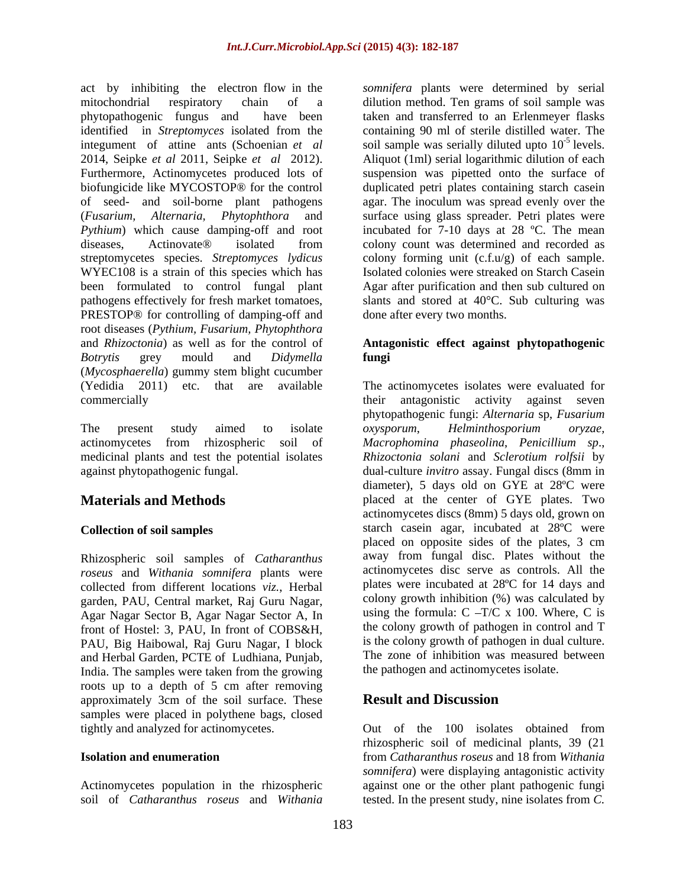act by inhibiting the electron flow in the mitochondrial respiratory chain of a dilution method. Ten grams of soil sample was phytopathogenic fungus and have been taken and transferred to an Erlenmeyer flasks identified in *Streptomyces* isolated from the containing 90 ml of sterile distilled water. The integument of attine ants (Schoenian *et al* 2014, Seipke *et al* 2011, Seipke *et al* 2012). Aliquot (1ml) serial logarithmic dilution of each Furthermore, Actinomycetes produced lots of suspension was pipetted onto the surface of biofungicide like MYCOSTOP® for the control duplicated petri plates containing starch casein of seed- and soil-borne plant pathogens agar. The inoculum was spread evenly over the (*Fusarium, Alternaria, Phytophthora* and surface using glass spreader. Petri plates were *Pythium*) which cause damping-off and root diseases, Actinovate® isolated from colony count was determined and recorded as streptomycetes species. *Streptomyces lydicus* WYEC108 is a strain of this species which has Isolated colonies were streaked on Starch Casein been formulated to control fungal plant Agar after purification and then sub cultured on pathogens effectively for fresh market tomatoes, slants and stored at 40°C. Sub culturing was PRESTOP® for controlling of damping-off and root diseases (*Pythium, Fusarium, Phytophthora* and *Rhizoctonia*) as well as for the control of **Antagonistic effect against phytopathogenic** *Botrytis* grey mould and *Didymella* (*Mycosphaerella*) gummy stem blight cucumber

against phytopathogenic fungal.

Rhizospheric soil samples of *Catharanthus roseus* and *Withania somnifera* plants were collected from different locations *viz.*, Herbal front of Hostel: 3, PAU, In front of COBS&H, PAU, Big Haibowal, Raj Guru Nagar, I block and Herbal Garden, PCTE of Ludhiana, Punjab, India. The samples were taken from the growing roots up to a depth of 5 cm after removing<br>approximately 3cm of the soil surface. These **Result and Discussion** approximately 3cm of the soil surface. These samples were placed in polythene bags, closed tightly and analyzed for actinomycetes. Out of the 100 isolates obtained from

*somnifera* plants were determined by serial soil sample was serially diluted upto  $10^{-5}$  levels. <sup>-5</sup> levels. incubated for 7-10 days at 28 ºC. The mean colony forming unit (c.f.u/g) of each sample. done after every two months.

# **fungi**

(Yedidia 2011) etc. that are available The actinomycetes isolates were evaluated for commercially their antagonistic activity against seven The present study aimed to isolate *oxysporum*, *Helminthosporium oryzae*, actinomycetes from rhizospheric soil of *Macrophomina phaseolina*, *Penicillium sp*., medicinal plants and test the potential isolates *Rhizoctonia solani* and *Sclerotium rolfsii* by **Materials and Methods** placed at the center of GYE plates. Two **Collection of soil samples** starch casein agar, incubated at 28ºC were garden, PAU, Central market, Raj Guru Nagar, Agar Nagar Sector B, Agar Nagar Sector A, In phytopathogenic fungi: *Alternaria* sp, *Fusarium oxysporum*, *Helminthosporium oryzae,* dual-culture *invitro* assay. Fungal discs (8mm in diameter), 5 days old on GYE at 28ºC were actinomycetes discs (8mm) 5 days old, grown on placed on opposite sides of the plates, 3 cm away from fungal disc. Plates without the actinomycetes disc serve as controls. All the plates were incubated at 28ºC for 14 days and colony growth inhibition (%) was calculated by using the formula:  $C - T/C \times 100$ . Where, C is the colony growth of pathogen in control and T is the colony growth of pathogen in dual culture. The zone of inhibition was measured between the pathogen and actinomycetes isolate.

## **Result and Discussion**

**Isolation and enumeration** from *Catharanthus roseus* and 18 from *Withania*  Actinomycetes population in the rhizospheric against one or the other plant pathogenic fungi soil of *Catharanthus roseus* and *Withania*  tested. In the present study, nine isolates from *C.* Out of the 100 isolates obtained from rhizospheric soil of medicinal plants, 39 (21 *somnifera*) were displaying antagonistic activity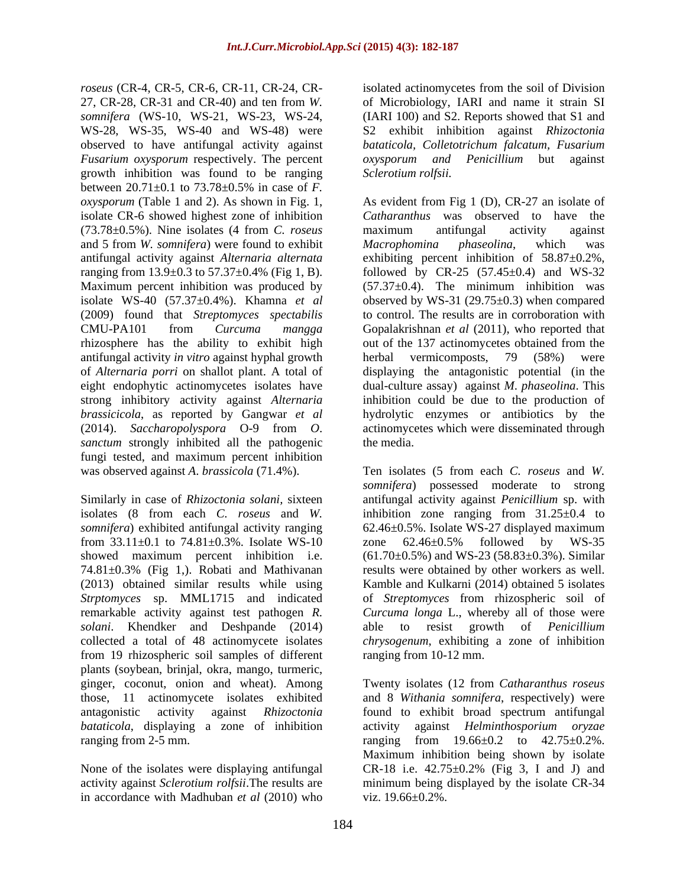*roseus* (CR-4, CR-5, CR-6, CR-11, CR-24, CR- isolated actinomycetes from the soil of Division 27, CR-28, CR-31 and CR-40) and ten from *W.*  of Microbiology, IARI and name it strain SI *somnifera* (WS-10, WS-21, WS-23, WS-24, (IARI 100) and S2. Reports showed that S1 and WS-28, WS-35, WS-40 and WS-48) were observed to have antifungal activity against *Fusarium oxysporum* respectively. The percent growth inhibition was found to be ranging between 20.71±0.1 to 73.78±0.5% in case of *F.*  (73.78±0.5%). Nine isolates (4 from *C. roseus* and 5 from *W. somnifera*) were found to exhibit isolate WS-40 (57.37±0.4%). Khamna *et al* (2009) found that *Streptomyces spectabilis* antifungal activity *in vitro* against hyphal growth strong inhibitory activity against *Alternaria sanctum* strongly inhibited all the pathogenic the media. fungi tested, and maximum percent inhibition

from  $33.11 \pm 0.1$  to  $74.81 \pm 0.3$ %. Isolate WS-10 zone  $62.46 \pm 0.5$ % followed by WS-35 showed maximum percent inhibition i.e. *solani*. Khendker and Deshpande (2014) able from 19 rhizospheric soil samples of different plants (soybean, brinjal, okra, mango, turmeric, *bataticola*, displaying a zone of inhibition activity against *Helminthosporium oryzae* 

in accordance with Madhuban *et al* (2010) who

S2 exhibit inhibition against *Rhizoctonia bataticola, Colletotrichum falcatum, Fusarium oxysporum and Penicillium* but against *Sclerotium rolfsii.*

*oxysporum* (Table 1 and 2). As shown in Fig. 1, As evident from Fig 1 (D), CR-27 an isolate of isolate CR-6 showed highest zone of inhibition *Catharanthus* was observed to have the antifungal activity against *Alternaria alternata* exhibiting percent inhibition of 58.87±0.2%, ranging from 13.9±0.3 to 57.37±0.4% (Fig 1, B). followed by CR-25 (57.45±0.4) and WS-32 Maximum percent inhibition was produced by (57.37±0.4). The minimum inhibition was CMU-PA101 from *Curcuma mangga* Gopalakrishnan *et al* (2011), who reported that rhizosphere has the ability to exhibit high out of the 137 actinomycetes obtained from the of *Alternaria porri* on shallot plant. A total of displaying the antagonistic potential (in the eight endophytic actinomycetes isolates have dual-culture assay) against *M*. *phaseolina*. This *brassicicola*, as reported by Gangwar *et al* hydrolytic enzymes or antibiotics by the (2014). *Saccharopolyspora* O-9 from *O*. actinomycetes which were disseminated through maximum antifungal activity against *Macrophomina phaseolina*, which was observed by WS-31  $(29.75\pm0.3)$  when compared to control. The results are in corroboration with herbal vermicomposts, 79 (58%) were inhibition could be due to the production of the media.

was observed against *A*. *brassicola* (71.4%). Ten isolates (5 from each *C. roseus* and *W.* Similarly in case of *Rhizoctonia solani,* sixteen antifungal activity against *Penicillium* sp. with isolates (8 from each *C. roseus* and *W.*  inhibition zone ranging from 31.25±0.4 to *somnifera*) exhibited antifungal activity ranging 62.46±0.5%. Isolate WS-27 displayed maximum 74.81±0.3% (Fig 1,). Robati and Mathivanan results were obtained by other workers as well. (2013) obtained similar results while using Kamble and Kulkarni (2014) obtained 5 isolates *Strptomyces* sp. MML1715 and indicated of *Streptomyces* from rhizospheric soil of remarkable activity against test pathogen *R. Curcuma longa* L., whereby all of those were collected a total of 48 actinomycete isolates *chrysogenum*, exhibiting a zone of inhibition *somnifera*) possessed moderate to strong zone 62.46±0.5% followed by WS-35  $(61.70\pm0.5\%)$  and WS-23 (58.83 $\pm$ 0.3%). Similar able to resist growth of *Penicillium*  ranging from 10-12 mm.

ginger, coconut, onion and wheat). Among Twenty isolates (12 from *Catharanthus roseus* those, 11 actinomycete isolates exhibited and 8 *Withania somnifera*, respectively) were antagonistic activity against *Rhizoctonia*  found to exhibit broad spectrum antifungal ranging from 2-5 mm. ranging from 19.66±0.2 to 42.75±0.2%. None of the isolates were displaying antifungal CR-18 i.e.  $42.75\pm0.2\%$  (Fig 3, I and J) and activity against *Sclerotium rolfsii*.The results are minimum being displayed by the isolate CR-34 activity against *Helminthosporium oryzae* Maximum inhibition being shown by isolate viz. 19.66±0.2%.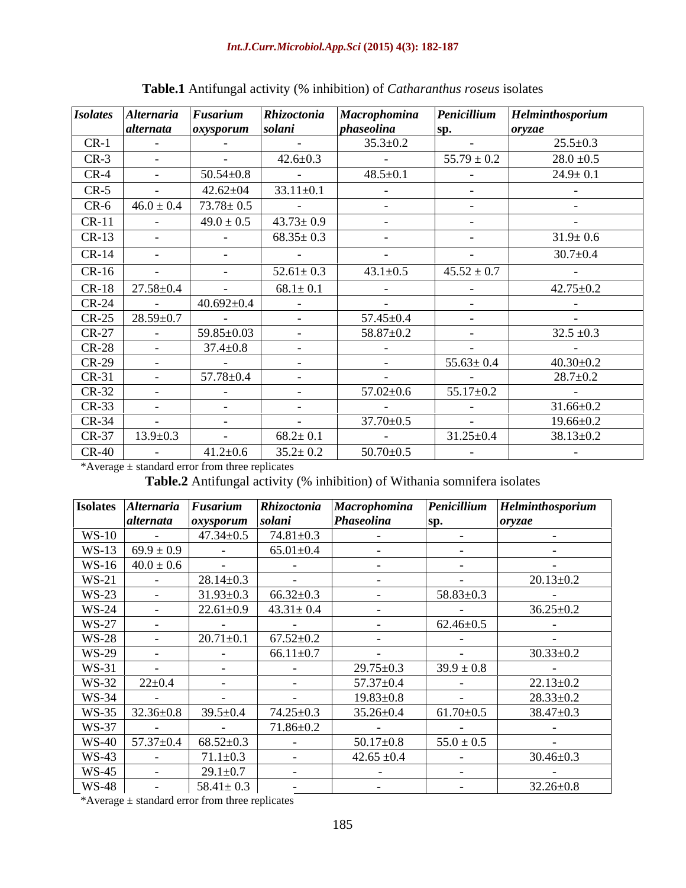| <b>Isolates</b> | <b>Iternaria</b>         | <sup>u</sup> usarium | Rhizoctonia     | Macrophomina             | Penicillium              | Helminthosporium |
|-----------------|--------------------------|----------------------|-----------------|--------------------------|--------------------------|------------------|
|                 | <i>alternata</i>         | oxysporum            | solani          | phaseolina               | Sp.                      | oryzae           |
| $CR-1$          | $\overline{\phantom{0}}$ |                      |                 | $35.3 \pm 0.2$           | $\sim$                   | $25.5 \pm 0.3$   |
| $CR-3$          | $\overline{\phantom{0}}$ | $\sim$               | $42.6 \pm 0.3$  | $\sim$ $ \sim$           | $55.79 \pm 0.2$          | $28.0 \pm 0.5$   |
| $CR-4$          | $\sim$                   | $50.54 {\pm} 0.8$    | $\sim$ $-$      | $48.5 \pm 0.1$           | $\sim$ $-$               | $24.9 \pm 0.1$   |
| $CR-5$          | $\overline{\phantom{0}}$ | $42.62 \pm 04$       | $33.11 \pm 0.1$ | $\sim$                   | $\sim$                   | $\sim$           |
| $CR-6$          | $46.0 \pm 0.4$           | $73.78 \pm 0.5$      |                 | $\sim$ $-$               | $\sim$ $-$               | $\sim$           |
| $CR-11$         | $\sim$                   | $49.0 \pm 0.5$       | $43.73 \pm 0.9$ | $\sim$ $-$               | $\sim$ $-$               | $\sim$           |
| $CR-13$         | $\overline{\phantom{0}}$ | $\sim$               | $68.35 \pm 0.3$ | $\sim$ 100 $\mu$         | $\sim$ $-$               | $31.9 \pm 0.6$   |
| $CR-1$          | $\sim$                   | $\sim$               | $\sim$ $-$      | $\sim$                   | $\sim$ $\sim$            | $30.7 \pm 0.4$   |
| $CR-16$         | $\sim$                   |                      | $52.61 \pm 0.3$ | $43.1 \pm 0.5$           | $45.52 \pm 0.7$          | $\sim$           |
| $CR-18$         | $27.58 \pm 0.4$          | $\sim$               | $68.1 \pm 0.1$  | $\sim$ $  -$             | $\sim$ $  -$             | $42.75 \pm 0.2$  |
| $CR-24$         | $\sim$                   | $40.692 \pm 0.4$     | $\sim$ $-$      | <b>Contract Contract</b> | <b>Contract Contract</b> | $\sim$ $\sim$    |
| $CR-25$         | $28.59 \pm 0.7$          | $\sim$ $-$           | $\sim$          | $57.45 \pm 0.4$          | $\sim$ $ \sim$           | $\sim$           |
| $CR-27$         |                          | 59.85±0.03           | $-$             | $58.87 \pm 0.2$          | $\sim$ $ \sim$           | $32.5 \pm 0.3$   |
| $CR-28$         |                          | $37.4 \pm 0.8$       | $\sim$          | <b>Contract Contract</b> | $\sim$ $-$               | $\sim$ $-$       |
| $CR-29$         | $\sim$                   | $\sim$ 100 $\sim$    | $\sim$ $-$      | <b>Contract Contract</b> | $55.63 \pm 0.4$          | $40.30 \pm 0.2$  |
| $CR-31$         | $\sim$                   | $57.78{\pm}0.4$      |                 | $\sim$                   | $\sim$ $-$               | $28.7 \pm 0.2$   |
| $CR-32$         | $\overline{\phantom{0}}$ | $\sim$ $-$           | $\sim$ $-$      | $57.02 \pm 0.6$          | $55.17 \pm 0.2$          | $\sim$ $ \sim$   |
| $CR-33$         | $\sim$                   | $\sim$               |                 | $\sim$ $-$               | $\sim$ $ -$              | $31.66 \pm 0.2$  |
| CR-34           | $\sim$                   | $\sim$               | $\sim$          | $37.70 \pm 0.5$          | $\sim$ $-$               | $19.66 \pm 0.2$  |
| CR-37           | $13.9 \pm 0.3$           |                      | $68.2 \pm 0.1$  | $\sim 100$ m $^{-1}$     | $31.25 \pm 0.4$          | $38.13 \pm 0.2$  |
| $CR-40$         | $\sim$                   | $41.2 \pm 0.6$       | $35.2 \pm 0.2$  | $50.70 \pm 0.5$          | $\sim$ $\sim$            | $\sim$           |

\*Average ± standard error from three replicates

**Table.2** Antifungal activity (% inhibition) of Withania somnifera isolates

|              | Isolates Alternaria                         | $Fusarium$      | <b>Rhizoctonia</b>          | <b>Macrophomina</b>        | Penicillium              | Helminthosporium         |
|--------------|---------------------------------------------|-----------------|-----------------------------|----------------------------|--------------------------|--------------------------|
|              | alternata                                   | oxysporum       | solani                      | Phaseolina                 |                          | oryzae                   |
| <b>WS-10</b> |                                             | $47.34 \pm 0.5$ | $74.81 \pm 0.3$             | $\sim$ $-$                 | $\sim$                   |                          |
|              | $WS-13$ 69.9 ± 0.9                          |                 | $65.01 \pm 0.4$             | $\sim$ $-$                 | <b>Contract Contract</b> |                          |
|              | $WS-16$ 40.0 ± 0.6                          |                 | $\sim$ $-$                  | and the state of the state | <b>Contract Contract</b> |                          |
| $WS-21$      |                                             | $28.14 \pm 0.3$ |                             | $\sim$ $\sim$              | $\sim 100$ m $^{-1}$     | $20.13 \pm 0.2$          |
| $WS-23$      |                                             | $31.93 \pm 0.3$ | $66.32 \pm 0.3$             | $\sim$ $-$                 | $58.83 \pm 0.3$          | $\sim$ $-$               |
| $WS-24$      |                                             | $22.61 \pm 0.9$ | $43.31 \pm 0.4$             | $\sim$ $-$                 | <b>Contract Contract</b> | $36.25 \pm 0.2$          |
| <b>WS-27</b> |                                             |                 |                             | $\sim$ $-$                 | $62.46 \pm 0.5$          |                          |
| <b>WS-28</b> |                                             | $20.71 \pm 0.1$ | $67.52 \pm 0.2$             | $\sim$ $-$                 | $\sim$ $ -$              | $\sim$ $-$               |
| WS-29        |                                             |                 | $66.11 \pm 0.7$             | $\sim$                     | <b>Contract Contract</b> | $30.33 \pm 0.2$          |
| WS-31        |                                             |                 | $\sim$ $-$                  | $29.75 \pm 0.3$            | $39.9 \pm 0.8$           | <b>Contract Contract</b> |
| WS-32        | $22 \pm 0.4$                                |                 | $\sim$                      | $57.37 \pm 0.4$            | <b>Contract Contract</b> | $22.13 \pm 0.2$          |
| <b>WS-34</b> |                                             | $-$             | $\sim$ $-$                  | $19.83 \pm 0.8$            | $\sim 100$ m $^{-1}$     | $28.33 \pm 0.2$          |
| <b>WS-35</b> | $32.36 \pm 0.8$                             | $39.5 \pm 0.4$  | $74.25 \pm 0.3$             | $35.26 \pm 0.4$            | $61.70 \pm 0.5$          | 38.47±0.3                |
| <b>WS-37</b> |                                             |                 | $71.86{\scriptstyle\pm0.2}$ | $\sim$ $-$                 | $\sim$ $ -$              | <b>Service Contract</b>  |
|              | $WS-40$   57.37 $\pm$ 0.4   68.52 $\pm$ 0.3 |                 | $\sim$                      | $50.17\pm\overline{0.8}$   | $55.0 \pm 0.5$           | <b>Contractor</b>        |
| <b>WS-43</b> |                                             | $71.1 \pm 0.3$  |                             | $42.65 \pm 0.4$            | $\sim 10^{-10}$          | $30.46 \pm 0.3$          |
| $WS-45$      |                                             | $29.1 \pm 0.7$  |                             | $\sim$ $-$                 | $\sim$ $ -$              | $\sim$ $\sim$ $\sim$     |
| <b>WS-48</b> |                                             | $58.41 \pm 0.3$ |                             |                            |                          | $32.26 \pm 0.8$          |

\*Average  $\pm$  standard error from three replicates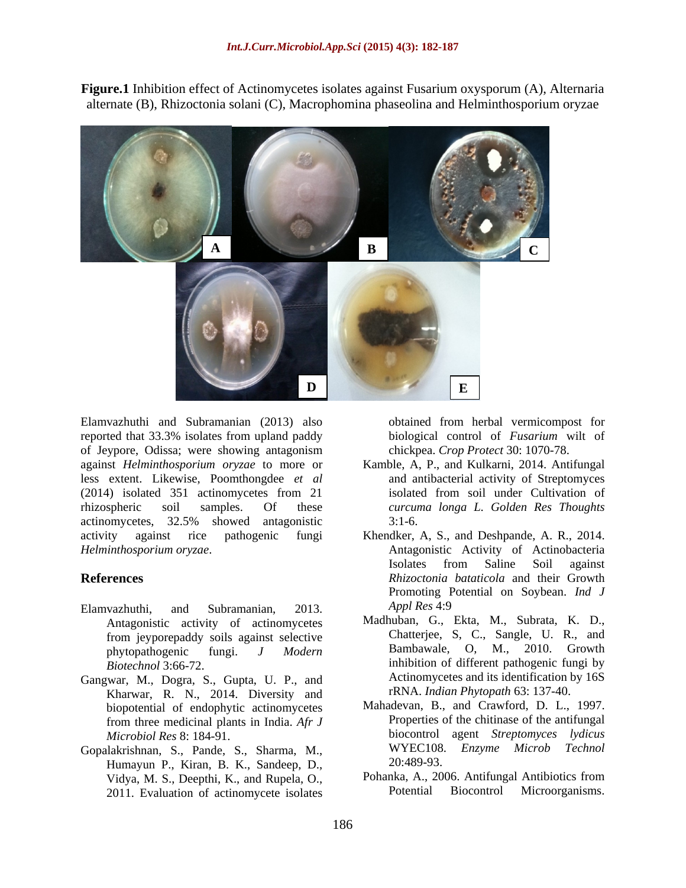**Figure.1** Inhibition effect of Actinomycetes isolates against Fusarium oxysporum (A), Alternaria alternate (B), Rhizoctonia solani (C), Macrophomina phaseolina and Helminthosporium oryzae



Elamvazhuthi and Subramanian (2013) also reported that 33.3% isolates from upland paddy of Jeypore, Odissa; were showing antagonism against *Helminthosporium oryzae* to more or less extent. Likewise, Poomthongdee *et al* (2014) isolated 351 actinomycetes from 21 rhizospheric soil samples. Of these *curcuma longa L. Golden Res Thoughts* actinomycetes, 32.5% showed antagonistic activity against rice pathogenic fungi Khendker, A, S., and Deshpande, A. R., 2014.

- Elamvazhuthi, and Subramanian, 2013. *Appl Res* 4:9 Antagonistic activity of actinomycetes from jeyporepaddy soils against selective
- Gangwar, M., Dogra, S., Gupta, U. P., and Kharwar, R. N., 2014. Diversity and biopotential of endophytic actinomycetes from three medicinal plants in India. *Afr J*
- Gopalakrishnan, S., Pande, S., Sharma, M., WYEC108<br>Humayun P. Kiran, R. K., Sandeen, D. 20:489-93. Humayun P., Kiran, B. K., Sandeep, D., 2011. Evaluation of actinomycete isolates

obtained from herbal vermicompost for biological control of *Fusarium* wilt of chickpea. *Crop Protect* 30: 1070-78.

- Kamble, A, P., and Kulkarni, 2014. Antifungal and antibacterial activity of Streptomyces isolated from soil under Cultivation of 3:1-6.
- *Helminthosporium oryzae*. Antagonistic Activity of Actinobacteria **References** *Rhizoctonia bataticola* and their Growth Isolates from Saline Soil against Promoting Potential on Soybean. *Ind J Appl Res* 4:9
	- phytopathogenic fungi. *J Modern Biotechnol* 3:66-72. inhibition of different pathogenic fungi by Madhuban, G., Ekta, M., Subrata, K. D., Chatterjee, S, C., Sangle, U. R., and Bambawale, O, M., 2010. Growth Actinomycetes and its identification by 16S rRNA. *Indian Phytopath* 63: 137-40.
	- *Microbiol Res* 8: 184-91. biocontrol agent *Streptomyces lydicus* Mahadevan, B., and Crawford, D. L., 1997. Properties of the chitinase of the antifungal WYEC108. *Enzyme Microb Technol* 20:489-93.
	- Vidya, M. S., Deepthi, K., and Rupela, O., Pohanka, A., 2006. Antifungal Antibiotics from<br>
	2011 Evaluation of actinomycete isolates Potential Biocontrol Microorganisms. Pohanka, A., 2006. Antifungal Antibiotics from